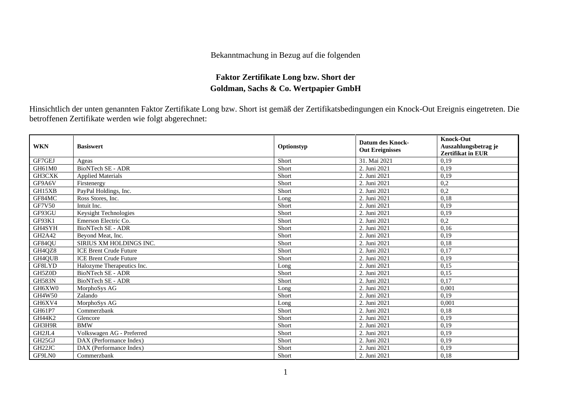## Bekanntmachung in Bezug auf die folgenden

## **Faktor Zertifikate Long bzw. Short der Goldman, Sachs & Co. Wertpapier GmbH**

Hinsichtlich der unten genannten Faktor Zertifikate Long bzw. Short ist gemäß der Zertifikatsbedingungen ein Knock-Out Ereignis eingetreten. Die betroffenen Zertifikate werden wie folgt abgerechnet:

| <b>WKN</b>         | <b>Basiswert</b>              | Optionstyp | <b>Datum des Knock-</b><br><b>Out Ereignisses</b> | <b>Knock-Out</b><br>Auszahlungsbetrag je<br><b>Zertifikat in EUR</b> |
|--------------------|-------------------------------|------------|---------------------------------------------------|----------------------------------------------------------------------|
| GF7GEJ             | Ageas                         | Short      | 31. Mai 2021                                      | 0,19                                                                 |
| GH61M0             | <b>BioNTech SE - ADR</b>      | Short      | 2. Juni 2021                                      | 0,19                                                                 |
| GH3CXK             | <b>Applied Materials</b>      | Short      | 2. Juni 2021                                      | 0,19                                                                 |
| GF9A6V             | Firstenergy                   | Short      | 2. Juni 2021                                      | 0,2                                                                  |
| GH15XB             | PayPal Holdings, Inc.         | Short      | 2. Juni 2021                                      | 0,2                                                                  |
| GF84MC             | Ross Stores, Inc.             | Long       | 2. Juni 2021                                      | 0,18                                                                 |
| <b>GF7V50</b>      | Intuit Inc.                   | Short      | 2. Juni 2021                                      | 0,19                                                                 |
| GF93GU             | <b>Keysight Technologies</b>  | Short      | 2. Juni 2021                                      | 0,19                                                                 |
| GF93K1             | Emerson Electric Co.          | Short      | 2. Juni 2021                                      | 0,2                                                                  |
| GH4SYH             | <b>BioNTech SE - ADR</b>      | Short      | 2. Juni 2021                                      | 0,16                                                                 |
| GH2A42             | Beyond Meat, Inc.             | Short      | 2. Juni 2021                                      | 0,19                                                                 |
| GF84QU             | SIRIUS XM HOLDINGS INC.       | Short      | 2. Juni 2021                                      | 0,18                                                                 |
| GH4QZ8             | <b>ICE Brent Crude Future</b> | Short      | 2. Juni 2021                                      | 0,17                                                                 |
| GH4QUB             | <b>ICE Brent Crude Future</b> | Short      | 2. Juni 2021                                      | 0,19                                                                 |
| GF8LYD             | Halozyme Therapeutics Inc.    | Long       | 2. Juni 2021                                      | 0,15                                                                 |
| GH5Z0D             | <b>BioNTech SE - ADR</b>      | Short      | 2. Juni 2021                                      | 0,15                                                                 |
| <b>GH583N</b>      | <b>BioNTech SE - ADR</b>      | Short      | 2. Juni 2021                                      | 0,17                                                                 |
| GH6XW0             | MorphoSys AG                  | Long       | 2. Juni 2021                                      | 0,001                                                                |
| GH4W50             | Zalando                       | Short      | 2. Juni 2021                                      | 0,19                                                                 |
| GH6XV4             | MorphoSys AG                  | Long       | 2. Juni 2021                                      | 0,001                                                                |
| GH61P7             | Commerzbank                   | Short      | 2. Juni 2021                                      | 0,18                                                                 |
| GH44K2             | Glencore                      | Short      | 2. Juni 2021                                      | 0,19                                                                 |
| GH3H9R             | <b>BMW</b>                    | Short      | 2. Juni 2021                                      | 0,19                                                                 |
| GH2JL4             | Volkswagen AG - Preferred     | Short      | 2. Juni 2021                                      | 0,19                                                                 |
| GH25GJ             | DAX (Performance Index)       | Short      | 2. Juni 2021                                      | 0,19                                                                 |
| GH <sub>22JC</sub> | DAX (Performance Index)       | Short      | 2. Juni 2021                                      | 0,19                                                                 |
| GF9LN0             | Commerzbank                   | Short      | 2. Juni 2021                                      | 0,18                                                                 |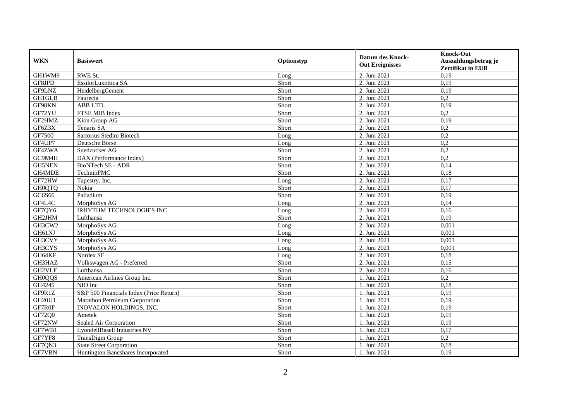| <b>WKN</b>    | <b>Basiswert</b>                        | Optionstyp | <b>Datum des Knock-</b><br><b>Out Ereignisses</b> | <b>Knock-Out</b><br>Auszahlungsbetrag je<br><b>Zertifikat in EUR</b> |
|---------------|-----------------------------------------|------------|---------------------------------------------------|----------------------------------------------------------------------|
| GH1WM9        | RWE St.                                 | Long       | 2. Juni 2021                                      | 0,19                                                                 |
| GF8JPD        | EssilorLuxottica SA                     | Short      | 2. Juni 2021                                      | 0,19                                                                 |
| GF9LNZ        | HeidelbergCement                        | Short      | 2. Juni 2021                                      | 0,19                                                                 |
| <b>GH1GLB</b> | Faurecia                                | Short      | 2. Juni 2021                                      | 0,2                                                                  |
| GF98KN        | ABB LTD.                                | Short      | 2. Juni 2021                                      | 0,19                                                                 |
| GF72YU        | FTSE MIB Index                          | Short      | 2. Juni 2021                                      | $\overline{0.2}$                                                     |
| GF2HMZ        | Kion Group AG                           | Short      | 2. Juni 2021                                      | 0,19                                                                 |
| GF6Z3X        | Tenaris SA                              | Short      | 2. Juni 2021                                      | 0,2                                                                  |
| GF7500        | Sartorius Stedim Biotech                | Long       | 2. Juni 2021                                      | 0,2                                                                  |
| GF4UP7        | Deutsche Börse                          | Long       | 2. Juni 2021                                      | 0,2                                                                  |
| GF4ZWA        | Suedzucker AG                           | Short      | 2. Juni 2021                                      | 0,2                                                                  |
| GC9M4H        | DAX (Performance Index)                 | Short      | 2. Juni 2021                                      | 0,2                                                                  |
| <b>GH5NEN</b> | BioNTech SE - ADR                       | Short      | 2. Juni 2021                                      | 0,14                                                                 |
| GH4MDE        | TechnipFMC                              | Short      | 2. Juni 2021                                      | 0,18                                                                 |
| GF72HW        | Tapestry, Inc.                          | Long       | 2. Juni 2021                                      | 0,17                                                                 |
| <b>GH0QTQ</b> | Nokia                                   | Short      | 2. Juni 2021                                      | 0,17                                                                 |
| GC6S66        | Palladium                               | Short      | 2. Juni 2021                                      | 0,19                                                                 |
| GF4L4C        | MorphoSys AG                            | Long       | 2. Juni 2021                                      | 0,14                                                                 |
| GF7QY6        | <b>IRHYTHM TECHNOLOGIES INC</b>         | Long       | 2. Juni 2021                                      | 0,16                                                                 |
| GH2JHM        | Lufthansa                               | Short      | 2. Juni 2021                                      | 0,19                                                                 |
| GH3CW2        | MorphoSys AG                            | Long       | 2. Juni 2021                                      | 0,001                                                                |
| GH61NJ        | MorphoSys AG                            | Long       | 2. Juni 2021                                      | 0,001                                                                |
| GH3CVY        | MorphoSys AG                            | Long       | 2. Juni 2021                                      | 0,001                                                                |
| GH3CYS        | MorphoSys AG                            | Long       | 2. Juni 2021                                      | 0,001                                                                |
| GH64KF        | Nordex SE                               | Long       | 2. Juni 2021                                      | 0,18                                                                 |
| GH3HAZ        | Volkswagen AG - Preferred               | Short      | 2. Juni 2021                                      | 0,15                                                                 |
| GH2VLF        | Lufthansa                               | Short      | 2. Juni 2021                                      | 0,16                                                                 |
| <b>GH0QQS</b> | American Airlines Group Inc.            | Short      | 1. Juni 2021                                      | 0,2                                                                  |
| GH4245        | NIO Inc                                 | Short      | 1. Juni 2021                                      | 0,18                                                                 |
| GF9R1Z        | S&P 500 Financials Index (Price Return) | Short      | 1. Juni 2021                                      | 0,19                                                                 |
| <b>GH20U1</b> | Marathon Petroleum Corporation          | Short      | 1. Juni 2021                                      | 0,19                                                                 |
| GF7R0F        | INOVALON HOLDINGS, INC.                 | Short      | 1. Juni 2021                                      | 0,19                                                                 |
| GF72Q0        | Ametek                                  | Short      | 1. Juni 2021                                      | 0,19                                                                 |
| GF72NW        | Sealed Air Corporation                  | Short      | 1. Juni 2021                                      | 0,19                                                                 |
| GF7WB1        | LyondellBasell Industries NV            | Short      | 1. Juni 2021                                      | 0,17                                                                 |
| GF7YF8        | TransDigm Group                         | Short      | 1. Juni 2021                                      | 0,2                                                                  |
| GF7QN3        | <b>State Street Corporation</b>         | Short      | 1. Juni 2021                                      | 0,18                                                                 |
| GF7VBN        | Huntington Bancshares Incorporated      | Short      | 1. Juni 2021                                      | 0,19                                                                 |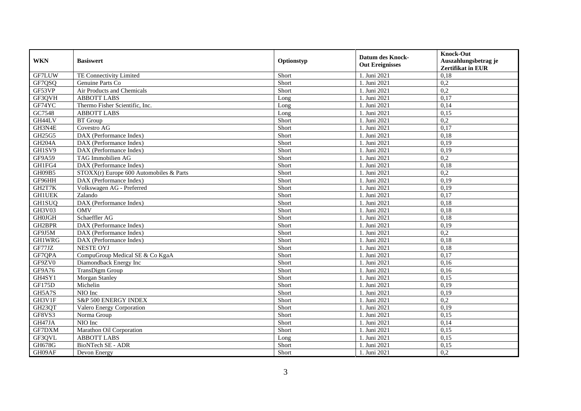| <b>WKN</b>    | <b>Basiswert</b>                        | Optionstyp | <b>Datum des Knock-</b><br><b>Out Ereignisses</b> | <b>Knock-Out</b><br>Auszahlungsbetrag je<br><b>Zertifikat in EUR</b> |
|---------------|-----------------------------------------|------------|---------------------------------------------------|----------------------------------------------------------------------|
| GF7LUW        | TE Connectivity Limited                 | Short      | 1. Juni 2021                                      | 0,18                                                                 |
| GF7QSQ        | Genuine Parts Co                        | Short      | 1. Juni 2021                                      | 0,2                                                                  |
| GF53VP        | Air Products and Chemicals              | Short      | 1. Juni 2021                                      | 0,2                                                                  |
| GF3QVH        | <b>ABBOTT LABS</b>                      | Long       | 1. Juni 2021                                      | 0,17                                                                 |
| GF74YC        | Thermo Fisher Scientific, Inc.          | Long       | 1. Juni 2021                                      | 0,14                                                                 |
| GC7548        | <b>ABBOTT LABS</b>                      | Long       | 1. Juni 2021                                      | 0,15                                                                 |
| GH44LV        | <b>BT</b> Group                         | Short      | 1. Juni 2021                                      | 0,2                                                                  |
| GH3N4E        | Covestro AG                             | Short      | 1. Juni 2021                                      | 0,17                                                                 |
| GH25G5        | DAX (Performance Index)                 | Short      | 1. Juni 2021                                      | 0,18                                                                 |
| <b>GH204A</b> | DAX (Performance Index)                 | Short      | 1. Juni 2021                                      | 0,19                                                                 |
| GH1SV9        | DAX (Performance Index)                 | Short      | 1. Juni 2021                                      | 0,19                                                                 |
| GF9A59        | <b>TAG</b> Immobilien AG                | Short      | 1. Juni 2021                                      | $\overline{0.2}$                                                     |
| GH1FG4        | DAX (Performance Index)                 | Short      | 1. Juni 2021                                      | 0,18                                                                 |
| GH09B5        | STOXX(r) Europe 600 Automobiles & Parts | Short      | 1. Juni 2021                                      | 0,2                                                                  |
| GF96HH        | DAX (Performance Index)                 | Short      | 1. Juni 2021                                      | 0,19                                                                 |
| GH2T7K        | Volkswagen AG - Preferred               | Short      | 1. Juni 2021                                      | 0,19                                                                 |
| <b>GH1UEK</b> | Zalando                                 | Short      | 1. Juni 2021                                      | 0,17                                                                 |
| <b>GH1SUO</b> | DAX (Performance Index)                 | Short      | 1. Juni 2021                                      | 0.18                                                                 |
| GH3V03        | <b>OMV</b>                              | Short      | 1. Juni 2021                                      | 0,18                                                                 |
| <b>GH0JGH</b> | Schaeffler AG                           | Short      | 1. Juni 2021                                      | 0,18                                                                 |
| GH2BPR        | DAX (Performance Index)                 | Short      | 1. Juni 2021                                      | 0,19                                                                 |
| GF9J5M        | DAX (Performance Index)                 | Short      | 1. Juni 2021                                      | 0,2                                                                  |
| GH1WRG        | DAX (Performance Index)                 | Short      | 1. Juni 2021                                      | 0,18                                                                 |
| GF77JZ        | <b>NESTE OYJ</b>                        | Short      | 1. Juni 2021                                      | 0,18                                                                 |
| GF7QPA        | CompuGroup Medical SE & Co KgaA         | Short      | 1. Juni 2021                                      | 0,17                                                                 |
| GF9ZV0        | Diamondback Energy Inc                  | Short      | 1. Juni 2021                                      | 0,16                                                                 |
| GF9A76        | TransDigm Group                         | Short      | 1. Juni 2021                                      | 0,16                                                                 |
| GH4SY1        | Morgan Stanley                          | Short      | 1. Juni 2021                                      | 0.15                                                                 |
| GF175D        | Michelin                                | Short      | 1. Juni 2021                                      | 0,19                                                                 |
| GH5A7S        | NIO Inc                                 | Short      | 1. Juni 2021                                      | 0,19                                                                 |
| GH3V1F        | S&P 500 ENERGY INDEX                    | Short      | 1. Juni 2021                                      | 0,2                                                                  |
| GH23QT        | Valero Energy Corporation               | Short      | 1. Juni 2021                                      | 0,19                                                                 |
| GF8VS3        | Norma Group                             | Short      | 1. Juni 2021                                      | 0,15                                                                 |
| GH47JA        | NIO Inc                                 | Short      | 1. Juni 2021                                      | 0,14                                                                 |
| GF7DXM        | Marathon Oil Corporation                | Short      | 1. Juni 2021                                      | 0,15                                                                 |
| GF3QVL        | <b>ABBOTT LABS</b>                      | Long       | 1. Juni 2021                                      | 0,15                                                                 |
| GH678G        | BioNTech SE - ADR                       | Short      | 1. Juni 2021                                      | 0,15                                                                 |
| GH09AF        | Devon Energy                            | Short      | 1. Juni 2021                                      | 0,2                                                                  |